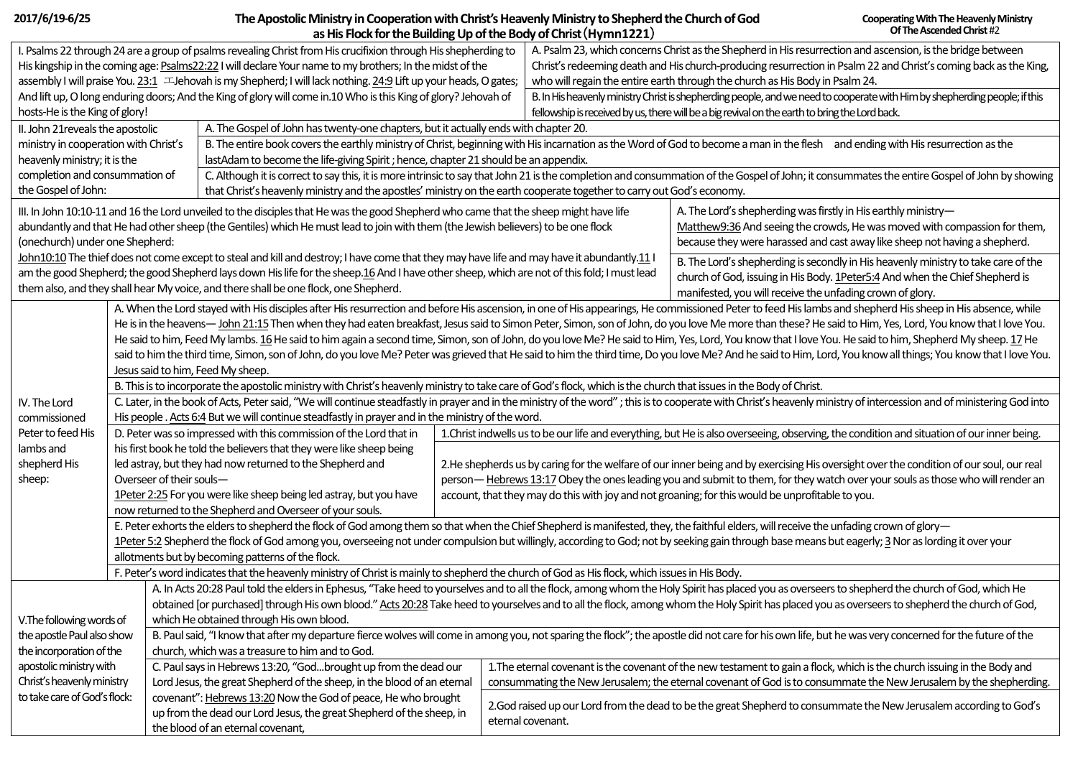| 2017/6/19-6/25                                                                                                                                                                                                                             |  |                                                                                                                                                                                                                                                                                                                                                                                               |                                                                                                                                                                                               | The Apostolic Ministry in Cooperation with Christ's Heavenly Ministry to Shepherd the Church of God                                                                                                                                                                       |                                                                                                                                                                                                                                                 |                                                                                                | <b>Cooperating With The Heavenly Ministry</b>                                                                              |  |  |  |
|--------------------------------------------------------------------------------------------------------------------------------------------------------------------------------------------------------------------------------------------|--|-----------------------------------------------------------------------------------------------------------------------------------------------------------------------------------------------------------------------------------------------------------------------------------------------------------------------------------------------------------------------------------------------|-----------------------------------------------------------------------------------------------------------------------------------------------------------------------------------------------|---------------------------------------------------------------------------------------------------------------------------------------------------------------------------------------------------------------------------------------------------------------------------|-------------------------------------------------------------------------------------------------------------------------------------------------------------------------------------------------------------------------------------------------|------------------------------------------------------------------------------------------------|----------------------------------------------------------------------------------------------------------------------------|--|--|--|
|                                                                                                                                                                                                                                            |  |                                                                                                                                                                                                                                                                                                                                                                                               |                                                                                                                                                                                               |                                                                                                                                                                                                                                                                           | as His Flock for the Building Up of the Body of Christ (Hymn1221)                                                                                                                                                                               |                                                                                                | Of The Ascended Christ #2                                                                                                  |  |  |  |
| I. Psalms 22 through 24 are a group of psalms revealing Christ from His crucifixion through His shepherding to                                                                                                                             |  |                                                                                                                                                                                                                                                                                                                                                                                               |                                                                                                                                                                                               |                                                                                                                                                                                                                                                                           | A. Psalm 23, which concerns Christ as the Shepherd in His resurrection and ascension, is the bridge between                                                                                                                                     |                                                                                                |                                                                                                                            |  |  |  |
| His kingship in the coming age: Psalms22:22 I will declare Your name to my brothers; In the midst of the                                                                                                                                   |  |                                                                                                                                                                                                                                                                                                                                                                                               |                                                                                                                                                                                               |                                                                                                                                                                                                                                                                           | Christ's redeeming death and His church-producing resurrection in Psalm 22 and Christ's coming back as the King,                                                                                                                                |                                                                                                |                                                                                                                            |  |  |  |
|                                                                                                                                                                                                                                            |  | assembly I will praise You. 23:1 E-Jehovah is my Shepherd; I will lack nothing. 24:9 Lift up your heads, O gates;                                                                                                                                                                                                                                                                             |                                                                                                                                                                                               |                                                                                                                                                                                                                                                                           |                                                                                                                                                                                                                                                 | who will regain the entire earth through the church as His Body in Psalm 24.                   |                                                                                                                            |  |  |  |
|                                                                                                                                                                                                                                            |  | And lift up, O long enduring doors; And the King of glory will come in.10 Who is this King of glory? Jehovah of                                                                                                                                                                                                                                                                               |                                                                                                                                                                                               |                                                                                                                                                                                                                                                                           |                                                                                                                                                                                                                                                 |                                                                                                | B. In His heavenly ministry Christ is shepherding people, and we need to cooperate with Him by shepherding people; if this |  |  |  |
| hosts-He is the King of glory!                                                                                                                                                                                                             |  |                                                                                                                                                                                                                                                                                                                                                                                               |                                                                                                                                                                                               |                                                                                                                                                                                                                                                                           |                                                                                                                                                                                                                                                 | fellowship is received by us, there will be a big revival on the earth to bring the Lord back. |                                                                                                                            |  |  |  |
| II. John 21 reveals the apostolic                                                                                                                                                                                                          |  | A. The Gospel of John has twenty-one chapters, but it actually ends with chapter 20.                                                                                                                                                                                                                                                                                                          |                                                                                                                                                                                               |                                                                                                                                                                                                                                                                           |                                                                                                                                                                                                                                                 |                                                                                                |                                                                                                                            |  |  |  |
| ministry in cooperation with Christ's                                                                                                                                                                                                      |  |                                                                                                                                                                                                                                                                                                                                                                                               | B. The entire book covers the earthly ministry of Christ, beginning with His incarnation as the Word of God to become a man in the flesh and ending with His resurrection as the              |                                                                                                                                                                                                                                                                           |                                                                                                                                                                                                                                                 |                                                                                                |                                                                                                                            |  |  |  |
| heavenly ministry; it is the                                                                                                                                                                                                               |  |                                                                                                                                                                                                                                                                                                                                                                                               | lastAdam to become the life-giving Spirit ; hence, chapter 21 should be an appendix.                                                                                                          |                                                                                                                                                                                                                                                                           |                                                                                                                                                                                                                                                 |                                                                                                |                                                                                                                            |  |  |  |
| completion and consummation of                                                                                                                                                                                                             |  |                                                                                                                                                                                                                                                                                                                                                                                               | C. Although it is correct to say this, it is more intrinsic to say that John 21 is the completion and consummation of the Gospel of John; it consummates the entire Gospel of John by showing |                                                                                                                                                                                                                                                                           |                                                                                                                                                                                                                                                 |                                                                                                |                                                                                                                            |  |  |  |
| the Gospel of John:                                                                                                                                                                                                                        |  |                                                                                                                                                                                                                                                                                                                                                                                               | that Christ's heavenly ministry and the apostles' ministry on the earth cooperate together to carry out God's economy.                                                                        |                                                                                                                                                                                                                                                                           |                                                                                                                                                                                                                                                 |                                                                                                |                                                                                                                            |  |  |  |
|                                                                                                                                                                                                                                            |  | III. In John 10:10-11 and 16 the Lord unveiled to the disciples that He was the good Shepherd who came that the sheep might have life                                                                                                                                                                                                                                                         |                                                                                                                                                                                               |                                                                                                                                                                                                                                                                           |                                                                                                                                                                                                                                                 | A. The Lord's shepherding was firstly in His earthly ministry-                                 |                                                                                                                            |  |  |  |
|                                                                                                                                                                                                                                            |  |                                                                                                                                                                                                                                                                                                                                                                                               | abundantly and that He had other sheep (the Gentiles) which He must lead to join with them (the Jewish believers) to be one flock                                                             |                                                                                                                                                                                                                                                                           |                                                                                                                                                                                                                                                 |                                                                                                | Matthew9:36 And seeing the crowds, He was moved with compassion for them,                                                  |  |  |  |
| (onechurch) under one Shepherd:                                                                                                                                                                                                            |  |                                                                                                                                                                                                                                                                                                                                                                                               |                                                                                                                                                                                               |                                                                                                                                                                                                                                                                           |                                                                                                                                                                                                                                                 | because they were harassed and cast away like sheep not having a shepherd.                     |                                                                                                                            |  |  |  |
|                                                                                                                                                                                                                                            |  | John10:10 The thief does not come except to steal and kill and destroy; I have come that they may have life and may have it abundantly.11 I                                                                                                                                                                                                                                                   |                                                                                                                                                                                               |                                                                                                                                                                                                                                                                           |                                                                                                                                                                                                                                                 |                                                                                                | B. The Lord's shepherding is secondly in His heavenly ministry to take care of the                                         |  |  |  |
|                                                                                                                                                                                                                                            |  | am the good Shepherd; the good Shepherd lays down His life for the sheep.16 And I have other sheep, which are not of this fold; I must lead                                                                                                                                                                                                                                                   |                                                                                                                                                                                               |                                                                                                                                                                                                                                                                           |                                                                                                                                                                                                                                                 | church of God, issuing in His Body. 1Peter5:4 And when the Chief Shepherd is                   |                                                                                                                            |  |  |  |
| them also, and they shall hear My voice, and there shall be one flock, one Shepherd.                                                                                                                                                       |  |                                                                                                                                                                                                                                                                                                                                                                                               |                                                                                                                                                                                               |                                                                                                                                                                                                                                                                           | manifested, you will receive the unfading crown of glory.                                                                                                                                                                                       |                                                                                                |                                                                                                                            |  |  |  |
|                                                                                                                                                                                                                                            |  | A. When the Lord stayed with His disciples after His resurrection and before His ascension, in one of His appearings, He commissioned Peter to feed His lambs and shepherd His sheep in His absence, while                                                                                                                                                                                    |                                                                                                                                                                                               |                                                                                                                                                                                                                                                                           |                                                                                                                                                                                                                                                 |                                                                                                |                                                                                                                            |  |  |  |
|                                                                                                                                                                                                                                            |  | He is in the heavens- John 21:15 Then when they had eaten breakfast, Jesus said to Simon Peter, Simon, son of John, do you love Me more than these? He said to Him, Yes, Lord, You know that I love You.                                                                                                                                                                                      |                                                                                                                                                                                               |                                                                                                                                                                                                                                                                           |                                                                                                                                                                                                                                                 |                                                                                                |                                                                                                                            |  |  |  |
|                                                                                                                                                                                                                                            |  | He said to him, Feed My lambs. 16 He said to him again a second time, Simon, son of John, do you love Me? He said to Him, Yes, Lord, You know that I love You. He said to him, Shepherd My sheep. 17 He                                                                                                                                                                                       |                                                                                                                                                                                               |                                                                                                                                                                                                                                                                           |                                                                                                                                                                                                                                                 |                                                                                                |                                                                                                                            |  |  |  |
|                                                                                                                                                                                                                                            |  |                                                                                                                                                                                                                                                                                                                                                                                               |                                                                                                                                                                                               |                                                                                                                                                                                                                                                                           |                                                                                                                                                                                                                                                 |                                                                                                |                                                                                                                            |  |  |  |
|                                                                                                                                                                                                                                            |  | said to him the third time, Simon, son of John, do you love Me? Peter was grieved that He said to him the third time, Do you love Me? And he said to Him, Lord, You know all things; You know that I love You.                                                                                                                                                                                |                                                                                                                                                                                               |                                                                                                                                                                                                                                                                           |                                                                                                                                                                                                                                                 |                                                                                                |                                                                                                                            |  |  |  |
|                                                                                                                                                                                                                                            |  | Jesus said to him, Feed My sheep.                                                                                                                                                                                                                                                                                                                                                             |                                                                                                                                                                                               |                                                                                                                                                                                                                                                                           |                                                                                                                                                                                                                                                 |                                                                                                |                                                                                                                            |  |  |  |
|                                                                                                                                                                                                                                            |  | B. This is to incorporate the apostolic ministry with Christ's heavenly ministry to take care of God's flock, which is the church that issues in the Body of Christ.                                                                                                                                                                                                                          |                                                                                                                                                                                               |                                                                                                                                                                                                                                                                           |                                                                                                                                                                                                                                                 |                                                                                                |                                                                                                                            |  |  |  |
| IV. The Lord<br>commissioned                                                                                                                                                                                                               |  | C. Later, in the book of Acts, Peter said, "We will continue steadfastly in prayer and in the ministry of the word"; this is to cooperate with Christ's heavenly ministry of intercession and of ministering God into                                                                                                                                                                         |                                                                                                                                                                                               |                                                                                                                                                                                                                                                                           |                                                                                                                                                                                                                                                 |                                                                                                |                                                                                                                            |  |  |  |
| Peter to feed His                                                                                                                                                                                                                          |  | His people . Acts 6:4 But we will continue steadfastly in prayer and in the ministry of the word.<br>D. Peter was so impressed with this commission of the Lord that in<br>1. Christ indwells us to be our life and everything, but He is also overseeing, observing, the condition and situation of our inner being.                                                                         |                                                                                                                                                                                               |                                                                                                                                                                                                                                                                           |                                                                                                                                                                                                                                                 |                                                                                                |                                                                                                                            |  |  |  |
| lambs and                                                                                                                                                                                                                                  |  | his first book he told the believers that they were like sheep being                                                                                                                                                                                                                                                                                                                          |                                                                                                                                                                                               |                                                                                                                                                                                                                                                                           |                                                                                                                                                                                                                                                 |                                                                                                |                                                                                                                            |  |  |  |
| shepherd His                                                                                                                                                                                                                               |  | led astray, but they had now returned to the Shepherd and                                                                                                                                                                                                                                                                                                                                     |                                                                                                                                                                                               |                                                                                                                                                                                                                                                                           |                                                                                                                                                                                                                                                 |                                                                                                |                                                                                                                            |  |  |  |
|                                                                                                                                                                                                                                            |  | Overseer of their souls-                                                                                                                                                                                                                                                                                                                                                                      |                                                                                                                                                                                               | 2. He shepherds us by caring for the welfare of our inner being and by exercising His oversight over the condition of our soul, our real<br>person—Hebrews 13:17 Obey the ones leading you and submit to them, for they watch over your souls as those who will render an |                                                                                                                                                                                                                                                 |                                                                                                |                                                                                                                            |  |  |  |
| sheep:                                                                                                                                                                                                                                     |  | 1Peter 2:25 For you were like sheep being led astray, but you have                                                                                                                                                                                                                                                                                                                            |                                                                                                                                                                                               | account, that they may do this with joy and not groaning; for this would be unprofitable to you.                                                                                                                                                                          |                                                                                                                                                                                                                                                 |                                                                                                |                                                                                                                            |  |  |  |
|                                                                                                                                                                                                                                            |  |                                                                                                                                                                                                                                                                                                                                                                                               |                                                                                                                                                                                               |                                                                                                                                                                                                                                                                           |                                                                                                                                                                                                                                                 |                                                                                                |                                                                                                                            |  |  |  |
|                                                                                                                                                                                                                                            |  | now returned to the Shepherd and Overseer of your souls.                                                                                                                                                                                                                                                                                                                                      |                                                                                                                                                                                               |                                                                                                                                                                                                                                                                           |                                                                                                                                                                                                                                                 |                                                                                                |                                                                                                                            |  |  |  |
|                                                                                                                                                                                                                                            |  | E. Peter exhorts the elders to shepherd the flock of God among them so that when the Chief Shepherd is manifested, they, the faithful elders, will receive the unfading crown of glory-<br>1Peter 5:2 Shepherd the flock of God among you, overseeing not under compulsion but willingly, according to God; not by seeking gain through base means but eagerly; 3 Nor as lording it over your |                                                                                                                                                                                               |                                                                                                                                                                                                                                                                           |                                                                                                                                                                                                                                                 |                                                                                                |                                                                                                                            |  |  |  |
|                                                                                                                                                                                                                                            |  | allotments but by becoming patterns of the flock.                                                                                                                                                                                                                                                                                                                                             |                                                                                                                                                                                               |                                                                                                                                                                                                                                                                           |                                                                                                                                                                                                                                                 |                                                                                                |                                                                                                                            |  |  |  |
|                                                                                                                                                                                                                                            |  | F. Peter's word indicates that the heavenly ministry of Christ is mainly to shepherd the church of God as His flock, which issues in His Body.                                                                                                                                                                                                                                                |                                                                                                                                                                                               |                                                                                                                                                                                                                                                                           |                                                                                                                                                                                                                                                 |                                                                                                |                                                                                                                            |  |  |  |
|                                                                                                                                                                                                                                            |  |                                                                                                                                                                                                                                                                                                                                                                                               |                                                                                                                                                                                               |                                                                                                                                                                                                                                                                           |                                                                                                                                                                                                                                                 |                                                                                                |                                                                                                                            |  |  |  |
| A. In Acts 20:28 Paul told the elders in Ephesus, "Take heed to yourselves and to all the flock, among whom the Holy Spirit has placed you as overseers to shepherd the church of God, which He                                            |  |                                                                                                                                                                                                                                                                                                                                                                                               |                                                                                                                                                                                               |                                                                                                                                                                                                                                                                           |                                                                                                                                                                                                                                                 |                                                                                                |                                                                                                                            |  |  |  |
| obtained [or purchased] through His own blood." Acts 20:28 Take heed to yourselves and to all the flock, among whom the Holy Spirit has placed you as overseers to shepherd the church of God,<br>which He obtained through His own blood. |  |                                                                                                                                                                                                                                                                                                                                                                                               |                                                                                                                                                                                               |                                                                                                                                                                                                                                                                           |                                                                                                                                                                                                                                                 |                                                                                                |                                                                                                                            |  |  |  |
| V. The following words of                                                                                                                                                                                                                  |  |                                                                                                                                                                                                                                                                                                                                                                                               |                                                                                                                                                                                               |                                                                                                                                                                                                                                                                           |                                                                                                                                                                                                                                                 |                                                                                                |                                                                                                                            |  |  |  |
| the apostle Paul also show                                                                                                                                                                                                                 |  | B. Paul said, "I know that after my departure fierce wolves will come in among you, not sparing the flock"; the apostle did not care for his own life, but he was very concerned for the future of the<br>church, which was a treasure to him and to God.                                                                                                                                     |                                                                                                                                                                                               |                                                                                                                                                                                                                                                                           |                                                                                                                                                                                                                                                 |                                                                                                |                                                                                                                            |  |  |  |
| the incorporation of the                                                                                                                                                                                                                   |  |                                                                                                                                                                                                                                                                                                                                                                                               |                                                                                                                                                                                               |                                                                                                                                                                                                                                                                           |                                                                                                                                                                                                                                                 |                                                                                                |                                                                                                                            |  |  |  |
| apostolic ministry with                                                                                                                                                                                                                    |  | C. Paul says in Hebrews 13:20, "Godbrought up from the dead our                                                                                                                                                                                                                                                                                                                               |                                                                                                                                                                                               |                                                                                                                                                                                                                                                                           | 1. The eternal covenant is the covenant of the new testament to gain a flock, which is the church issuing in the Body and<br>consummating the New Jerusalem; the eternal covenant of God is to consummate the New Jerusalem by the shepherding. |                                                                                                |                                                                                                                            |  |  |  |
| Christ's heavenly ministry                                                                                                                                                                                                                 |  | Lord Jesus, the great Shepherd of the sheep, in the blood of an eternal                                                                                                                                                                                                                                                                                                                       |                                                                                                                                                                                               |                                                                                                                                                                                                                                                                           |                                                                                                                                                                                                                                                 |                                                                                                |                                                                                                                            |  |  |  |
| to take care of God's flock:                                                                                                                                                                                                               |  | covenant": Hebrews 13:20 Now the God of peace, He who brought                                                                                                                                                                                                                                                                                                                                 |                                                                                                                                                                                               |                                                                                                                                                                                                                                                                           |                                                                                                                                                                                                                                                 |                                                                                                | 2.God raised up our Lord from the dead to be the great Shepherd to consummate the New Jerusalem according to God's         |  |  |  |
|                                                                                                                                                                                                                                            |  | up from the dead our Lord Jesus, the great Shepherd of the sheep, in                                                                                                                                                                                                                                                                                                                          |                                                                                                                                                                                               |                                                                                                                                                                                                                                                                           | eternal covenant.                                                                                                                                                                                                                               |                                                                                                |                                                                                                                            |  |  |  |
|                                                                                                                                                                                                                                            |  | the blood of an eternal covenant,                                                                                                                                                                                                                                                                                                                                                             |                                                                                                                                                                                               |                                                                                                                                                                                                                                                                           |                                                                                                                                                                                                                                                 |                                                                                                |                                                                                                                            |  |  |  |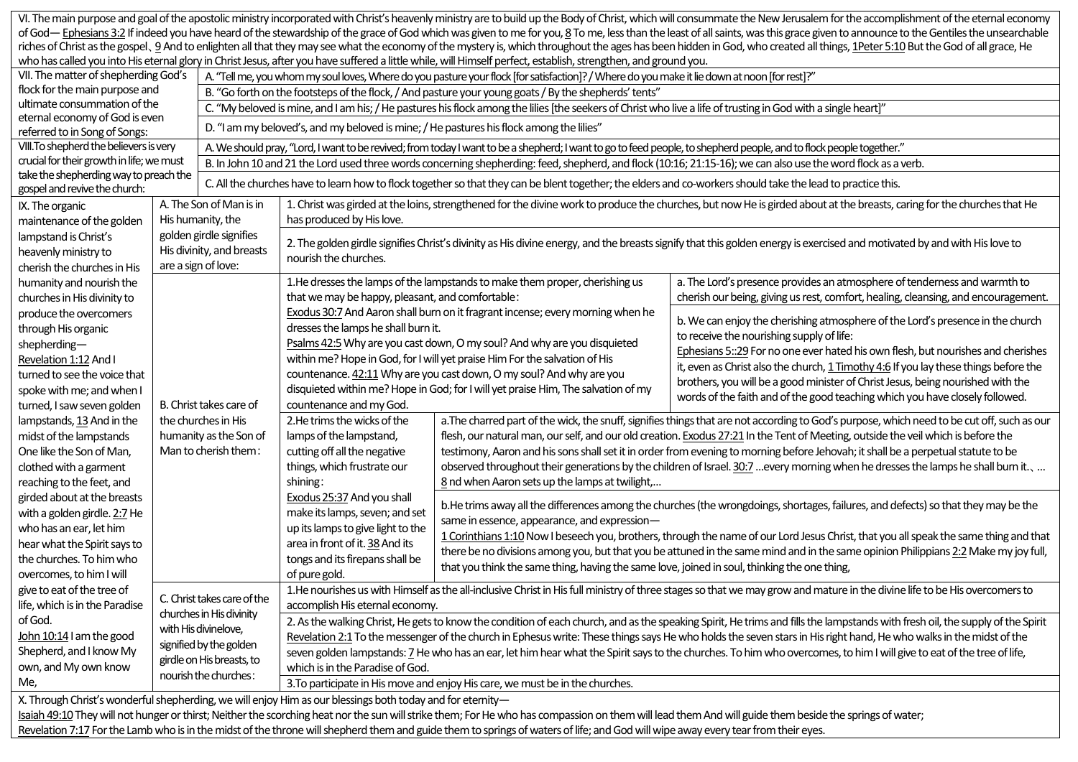|                                                                                                                                                                                                                                |                         |                                                                                                                                                                     |                                                                                                                                                                                |                                                                                                                                                                                                                                                                        | VI. The main purpose and goal of the apostolic ministry incorporated with Christ's heavenly ministry are to build up the Body of Christ, which will consummate the New Jerusalem for the accomplishment of the eternal economy |  |  |  |  |
|--------------------------------------------------------------------------------------------------------------------------------------------------------------------------------------------------------------------------------|-------------------------|---------------------------------------------------------------------------------------------------------------------------------------------------------------------|--------------------------------------------------------------------------------------------------------------------------------------------------------------------------------|------------------------------------------------------------------------------------------------------------------------------------------------------------------------------------------------------------------------------------------------------------------------|--------------------------------------------------------------------------------------------------------------------------------------------------------------------------------------------------------------------------------|--|--|--|--|
| of God— Ephesians 3:2 If indeed you have heard of the stewardship of the grace of God which was given to me for you, 8 To me, less than the least of all saints, was this grace given to announce to the Gentiles the unsearch |                         |                                                                                                                                                                     |                                                                                                                                                                                |                                                                                                                                                                                                                                                                        |                                                                                                                                                                                                                                |  |  |  |  |
|                                                                                                                                                                                                                                |                         |                                                                                                                                                                     |                                                                                                                                                                                |                                                                                                                                                                                                                                                                        | riches of Christ as the gospel, 9 And to enlighten all that they may see what the economy of the mystery is, which throughout the ages has been hidden in God, who created all things, 1Peter 5:10 But the God of all grace, H |  |  |  |  |
|                                                                                                                                                                                                                                |                         |                                                                                                                                                                     |                                                                                                                                                                                | who has called you into His eternal glory in Christ Jesus, after you have suffered a little while, will Himself perfect, establish, strengthen, and ground you.                                                                                                        |                                                                                                                                                                                                                                |  |  |  |  |
| VII. The matter of shepherding God's                                                                                                                                                                                           |                         | A. "Tell me, you whom my soul loves, Where do you pasture your flock [for satisfaction]? / Where do you make it lie down at noon [for rest]?"                       |                                                                                                                                                                                |                                                                                                                                                                                                                                                                        |                                                                                                                                                                                                                                |  |  |  |  |
| flock for the main purpose and                                                                                                                                                                                                 |                         | B. "Go forth on the footsteps of the flock, / And pasture your young goats / By the shepherds' tents"                                                               |                                                                                                                                                                                |                                                                                                                                                                                                                                                                        |                                                                                                                                                                                                                                |  |  |  |  |
| ultimate consummation of the                                                                                                                                                                                                   |                         | C. "My beloved is mine, and I am his; / He pastures his flock among the lilies [the seekers of Christ who live a life of trusting in God with a single heart]"      |                                                                                                                                                                                |                                                                                                                                                                                                                                                                        |                                                                                                                                                                                                                                |  |  |  |  |
| eternal economy of God is even                                                                                                                                                                                                 |                         | D. "I am my beloved's, and my beloved is mine; / He pastures his flock among the lilies"                                                                            |                                                                                                                                                                                |                                                                                                                                                                                                                                                                        |                                                                                                                                                                                                                                |  |  |  |  |
| referred to in Song of Songs:                                                                                                                                                                                                  |                         |                                                                                                                                                                     |                                                                                                                                                                                |                                                                                                                                                                                                                                                                        |                                                                                                                                                                                                                                |  |  |  |  |
| VIII. To shepherd the believers is very<br>crucial for their growth in life; we must                                                                                                                                           |                         | A. We should pray, "Lord, I want to be revived; from today I want to be a shepherd; I want to go to feed people, to shepherd people, and to flock people together." |                                                                                                                                                                                |                                                                                                                                                                                                                                                                        |                                                                                                                                                                                                                                |  |  |  |  |
|                                                                                                                                                                                                                                |                         | B. In John 10 and 21 the Lord used three words concerning shepherding: feed, shepherd, and flock (10:16; 21:15-16); we can also use the word flock as a verb.       |                                                                                                                                                                                |                                                                                                                                                                                                                                                                        |                                                                                                                                                                                                                                |  |  |  |  |
| take the shepherding way to preach the                                                                                                                                                                                         |                         | C. All the churches have to learn how to flock together so that they can be blent together; the elders and co-workers should take the lead to practice this.        |                                                                                                                                                                                |                                                                                                                                                                                                                                                                        |                                                                                                                                                                                                                                |  |  |  |  |
| gospel and revive the church:                                                                                                                                                                                                  |                         |                                                                                                                                                                     |                                                                                                                                                                                |                                                                                                                                                                                                                                                                        |                                                                                                                                                                                                                                |  |  |  |  |
| IX. The organic                                                                                                                                                                                                                | A. The Son of Man is in |                                                                                                                                                                     | 1. Christ was girded at the loins, strengthened for the divine work to produce the churches, but now He is girded about at the breasts, caring for the churches that He        |                                                                                                                                                                                                                                                                        |                                                                                                                                                                                                                                |  |  |  |  |
| maintenance of the golden                                                                                                                                                                                                      |                         | His humanity, the                                                                                                                                                   | has produced by His love.                                                                                                                                                      |                                                                                                                                                                                                                                                                        |                                                                                                                                                                                                                                |  |  |  |  |
| lampstand is Christ's                                                                                                                                                                                                          |                         | golden girdle signifies                                                                                                                                             | 2. The golden girdle signifies Christ's divinity as His divine energy, and the breasts signify that this golden energy is exercised and motivated by and with His love to      |                                                                                                                                                                                                                                                                        |                                                                                                                                                                                                                                |  |  |  |  |
| heavenly ministry to                                                                                                                                                                                                           |                         | His divinity, and breasts                                                                                                                                           | nourish the churches.                                                                                                                                                          |                                                                                                                                                                                                                                                                        |                                                                                                                                                                                                                                |  |  |  |  |
| cherish the churches in His                                                                                                                                                                                                    | are a sign of love:     |                                                                                                                                                                     |                                                                                                                                                                                |                                                                                                                                                                                                                                                                        |                                                                                                                                                                                                                                |  |  |  |  |
| humanity and nourish the                                                                                                                                                                                                       | B. Christ takes care of |                                                                                                                                                                     |                                                                                                                                                                                | 1. He dresses the lamps of the lampstands to make them proper, cherishing us                                                                                                                                                                                           | a. The Lord's presence provides an atmosphere of tenderness and warmth to                                                                                                                                                      |  |  |  |  |
| churches in His divinity to                                                                                                                                                                                                    |                         |                                                                                                                                                                     | that we may be happy, pleasant, and comfortable:                                                                                                                               |                                                                                                                                                                                                                                                                        | cherish our being, giving us rest, comfort, healing, cleansing, and encouragement.                                                                                                                                             |  |  |  |  |
| produce the overcomers                                                                                                                                                                                                         |                         |                                                                                                                                                                     |                                                                                                                                                                                | Exodus 30:7 And Aaron shall burn on it fragrant incense; every morning when he                                                                                                                                                                                         | b. We can enjoy the cherishing atmosphere of the Lord's presence in the church<br>to receive the nourishing supply of life:                                                                                                    |  |  |  |  |
| through His organic                                                                                                                                                                                                            |                         |                                                                                                                                                                     | dresses the lamps he shall burn it.                                                                                                                                            |                                                                                                                                                                                                                                                                        |                                                                                                                                                                                                                                |  |  |  |  |
| shepherding-                                                                                                                                                                                                                   |                         |                                                                                                                                                                     |                                                                                                                                                                                | Psalms 42:5 Why are you cast down, O my soul? And why are you disquieted                                                                                                                                                                                               | Ephesians 5::29 For no one ever hated his own flesh, but nourishes and cherishes                                                                                                                                               |  |  |  |  |
| Revelation 1:12 And I                                                                                                                                                                                                          |                         |                                                                                                                                                                     |                                                                                                                                                                                | within me? Hope in God, for I will yet praise Him For the salvation of His                                                                                                                                                                                             | it, even as Christ also the church, 1 Timothy 4:6 If you lay these things before the                                                                                                                                           |  |  |  |  |
| turned to see the voice that                                                                                                                                                                                                   |                         |                                                                                                                                                                     |                                                                                                                                                                                | countenance. 42:11 Why are you cast down, O my soul? And why are you                                                                                                                                                                                                   | brothers, you will be a good minister of Christ Jesus, being nourished with the                                                                                                                                                |  |  |  |  |
| spoke with me; and when I                                                                                                                                                                                                      |                         |                                                                                                                                                                     |                                                                                                                                                                                | disquieted within me? Hope in God; for I will yet praise Him, The salvation of my                                                                                                                                                                                      |                                                                                                                                                                                                                                |  |  |  |  |
| turned, I saw seven golden                                                                                                                                                                                                     |                         |                                                                                                                                                                     | words of the faith and of the good teaching which you have closely followed.<br>countenance and my God.                                                                        |                                                                                                                                                                                                                                                                        |                                                                                                                                                                                                                                |  |  |  |  |
| lampstands, 13 And in the                                                                                                                                                                                                      |                         | the churches in His                                                                                                                                                 | 2. He trims the wicks of the                                                                                                                                                   |                                                                                                                                                                                                                                                                        | a. The charred part of the wick, the snuff, signifies things that are not according to God's purpose, which need to be cut off, such as our                                                                                    |  |  |  |  |
| midst of the lampstands                                                                                                                                                                                                        |                         | humanity as the Son of                                                                                                                                              | lamps of the lampstand,                                                                                                                                                        | flesh, our natural man, our self, and our old creation. Exodus 27:21 In the Tent of Meeting, outside the veil which is before the<br>testimony, Aaron and his sons shall set it in order from evening to morning before Jehovah; it shall be a perpetual statute to be |                                                                                                                                                                                                                                |  |  |  |  |
| One like the Son of Man,                                                                                                                                                                                                       |                         | Man to cherish them:                                                                                                                                                | cutting off all the negative                                                                                                                                                   |                                                                                                                                                                                                                                                                        |                                                                                                                                                                                                                                |  |  |  |  |
| clothed with a garment                                                                                                                                                                                                         |                         |                                                                                                                                                                     | things, which frustrate our                                                                                                                                                    | observed throughout their generations by the children of Israel. 30:7 every morning when he dresses the lamps he shall burn it.,<br>8 nd when Aaron sets up the lamps at twilight,                                                                                     |                                                                                                                                                                                                                                |  |  |  |  |
| reaching to the feet, and                                                                                                                                                                                                      |                         |                                                                                                                                                                     | shining:                                                                                                                                                                       |                                                                                                                                                                                                                                                                        |                                                                                                                                                                                                                                |  |  |  |  |
| girded about at the breasts                                                                                                                                                                                                    |                         |                                                                                                                                                                     | Exodus 25:37 And you shall                                                                                                                                                     |                                                                                                                                                                                                                                                                        |                                                                                                                                                                                                                                |  |  |  |  |
| with a golden girdle. 2:7 He                                                                                                                                                                                                   |                         |                                                                                                                                                                     | make its lamps, seven; and set                                                                                                                                                 | b. He trims away all the differences among the churches (the wrongdoings, shortages, failures, and defects) so that they may be the                                                                                                                                    |                                                                                                                                                                                                                                |  |  |  |  |
| who has an ear, let him                                                                                                                                                                                                        |                         |                                                                                                                                                                     | up its lamps to give light to the                                                                                                                                              |                                                                                                                                                                                                                                                                        | same in essence, appearance, and expression-                                                                                                                                                                                   |  |  |  |  |
|                                                                                                                                                                                                                                |                         |                                                                                                                                                                     | area in front of it. 38 And its                                                                                                                                                |                                                                                                                                                                                                                                                                        | 1 Corinthians 1:10 Now I beseech you, brothers, through the name of our Lord Jesus Christ, that you all speak the same thing and that                                                                                          |  |  |  |  |
| hear what the Spirit says to                                                                                                                                                                                                   |                         |                                                                                                                                                                     | tongs and its firepans shall be                                                                                                                                                |                                                                                                                                                                                                                                                                        | there be no divisions among you, but that you be attuned in the same mind and in the same opinion Philippians 2:2 Make my joy full,                                                                                            |  |  |  |  |
| the churches. To him who                                                                                                                                                                                                       |                         |                                                                                                                                                                     |                                                                                                                                                                                | that you think the same thing, having the same love, joined in soul, thinking the one thing,                                                                                                                                                                           |                                                                                                                                                                                                                                |  |  |  |  |
| overcomes, to him I will                                                                                                                                                                                                       |                         |                                                                                                                                                                     | of pure gold.                                                                                                                                                                  |                                                                                                                                                                                                                                                                        |                                                                                                                                                                                                                                |  |  |  |  |
| give to eat of the tree of                                                                                                                                                                                                     |                         | C. Christ takes care of the<br>churches in His divinity<br>with His divinelove,<br>signified by the golden<br>girdle on His breasts, to<br>nourish the churches:    | 1. He nourishes us with Himself as the all-inclusive Christ in His full ministry of three stages so that we may grow and mature in the divine life to be His overcomers to     |                                                                                                                                                                                                                                                                        |                                                                                                                                                                                                                                |  |  |  |  |
| life, which is in the Paradise                                                                                                                                                                                                 |                         |                                                                                                                                                                     | accomplish His eternal economy.                                                                                                                                                |                                                                                                                                                                                                                                                                        |                                                                                                                                                                                                                                |  |  |  |  |
| of God.                                                                                                                                                                                                                        |                         |                                                                                                                                                                     | 2. As the walking Christ, He gets to know the condition of each church, and as the speaking Spirit, He trims and fills the lampstands with fresh oil, the supply of the Spirit |                                                                                                                                                                                                                                                                        |                                                                                                                                                                                                                                |  |  |  |  |
| John 10:14 I am the good                                                                                                                                                                                                       |                         |                                                                                                                                                                     | Revelation 2:1 To the messenger of the church in Ephesus write: These things says He who holds the seven stars in His right hand, He who walks in the midst of the             |                                                                                                                                                                                                                                                                        |                                                                                                                                                                                                                                |  |  |  |  |
| Shepherd, and I know My                                                                                                                                                                                                        |                         |                                                                                                                                                                     | seven golden lampstands: 7 He who has an ear, let him hear what the Spirit says to the churches. To him who overcomes, to him I will give to eat of the tree of life,          |                                                                                                                                                                                                                                                                        |                                                                                                                                                                                                                                |  |  |  |  |
| own, and My own know                                                                                                                                                                                                           |                         |                                                                                                                                                                     | which is in the Paradise of God.                                                                                                                                               |                                                                                                                                                                                                                                                                        |                                                                                                                                                                                                                                |  |  |  |  |
| Me,                                                                                                                                                                                                                            |                         |                                                                                                                                                                     | 3. To participate in His move and enjoy His care, we must be in the churches.                                                                                                  |                                                                                                                                                                                                                                                                        |                                                                                                                                                                                                                                |  |  |  |  |
|                                                                                                                                                                                                                                |                         |                                                                                                                                                                     | X. Through Christ's wonderful shepherding, we will enjoy Him as our blessings both today and for eternity-                                                                     |                                                                                                                                                                                                                                                                        |                                                                                                                                                                                                                                |  |  |  |  |
| Isaiah 49:10 They will not hunger or thirst; Neither the scorching heat nor the sun will strike them; For He who has compassion on them will lead them And will guide them beside the springs of water;                        |                         |                                                                                                                                                                     |                                                                                                                                                                                |                                                                                                                                                                                                                                                                        |                                                                                                                                                                                                                                |  |  |  |  |

Revelation 7:17 For the Lamb who is in the midst of the throne will shepherd them and guide them to springs of waters of life; and God will wipe away every tear from their eyes.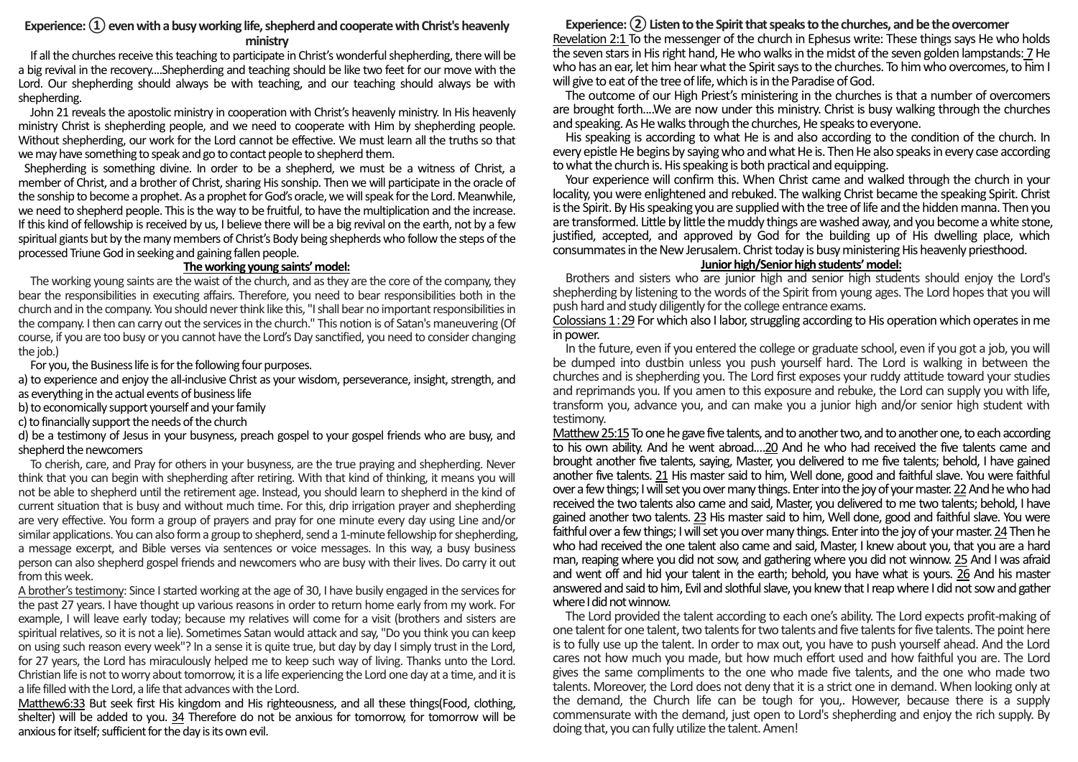## Experience: (1) even with a busy working life, shepherd and cooperate with Christ's heavenly **ministry**

If all the churches receive this teaching to participate in Christ's wonderfulshepherding, there will be a big revival in the recovery....Shepherding and teaching should be like two feet for our move with the Lord. Our shepherding should always be with teaching, and our teaching should always be with shepherding.

John 21 reveals the apostolic ministry in cooperation with Christ's heavenly ministry. In His heavenly ministry Christ is shepherding people, and we need to cooperate with Him by shepherding people. Without shepherding, our work for the Lord cannot be effective. We must learn all the truths so that we may have something to speak and go to contact people to shepherd them.

Shepherding is something divine. In order to be a shepherd, we must be a witness of Christ, a member of Christ, and a brother of Christ, sharing Hissonship. Then we will participate in the oracle of the sonship to become a prophet. As a prophet for God's oracle, we will speak for the Lord. Meanwhile, we need to shepherd people. This is the way to be fruitful, to have the multiplication and the increase. If this kind of fellowship is received by us, I believe there will be a big revival on the earth, not by a few spiritual giants but by the many members of Christ's Body being shepherds who follow the steps of the processed Triune God in seeking and gaining fallen people.

#### **The working young saints' model:**

The working young saints are the waist of the church, and as they are the core of the company, they bear the responsibilities in executing affairs. Therefore, you need to bear responsibilities both in the church and in the company. You should never think like this, "I shall bear no important responsibilities in the company. I then can carry out the services in the church." This notion is of Satan's maneuvering (Of course, if you are too busy or you cannot have the Lord's Day sanctified, you need to consider changing the *iob*.)

For you, the Business life is for the following four purposes.

a) to experience and enjoy the all-inclusive Christ as your wisdom, perseverance, insight, strength, and as everything in the actual events of business life

b) to economically support yourself and your family

c) to financially support the needs of the church

d) be a testimony of Jesus in your busyness, preach gospel to your gospel friends who are busy, and shepherd the newcomers

To cherish, care, and Pray for others in your busyness, are the true praying and shepherding. Never think that you can begin with shepherding after retiring. With that kind of thinking, it means you will not be able to shepherd until the retirement age. Instead, you should learn to shepherd in the kind of current situation that is busy and without much time. For this, drip irrigation prayer and shepherding are very effective. You form a group of prayers and pray for one minute every day using Line and/or similar applications. You can also form a group to shepherd, send a 1-minute fellowship for shepherding, a message excerpt, and Bible verses via sentences or voice messages. In this way, a busy business person can also shepherd gospel friends and newcomers who are busy with their lives. Do carry it out from this week.

A brother's testimony: Since I started working at the age of 30, I have busily engaged in the services for the past 27 years. I have thought up various reasons in order to return home early from my work. For example, I will leave early today; because my relatives will come for a visit (brothers and sisters are spiritual relatives, so it is not a lie). Sometimes Satan would attack and say, "Do you think you can keep on using such reason every week"? In a sense it is quite true, but day by day I simply trust in the Lord, for 27 years, the Lord has miraculously helped me to keep such way of living. Thanks unto the Lord. Christian life is not to worry about tomorrow, it is a life experiencing the Lord one day at a time, and it is a life filled with the Lord, a life that advances with the Lord.

Matthew6:33 But seek first His kingdom and His righteousness, and all these things(Food, clothing, shelter) will be added to you. 34 Therefore do not be anxious for tomorrow, for tomorrow will be anxious for itself; sufficient for the day is its own evil.

#### **Experience: ② Listen to the Spirit that speaks to the churches, and be the overcomer** Revelation 2:1 To the messenger of the church in Ephesus write: These things says He who holds the seven stars in His right hand, He who walks in the midst of the seven golden lampstands: 7 He who has an ear, let him hear what the Spirit says to the churches. To him who overcomes, to him I will give to eat of the tree of life, which is in the Paradise of God.

The outcome of our High Priest's ministering in the churches is that a number of overcomers are brought forth....We are now under this ministry. Christ is busy walking through the churches and speaking. As He walks through the churches. He speaks to everyone.

His speaking is according to what He is and also according to the condition of the church. In every epistle He begins by saying who and what He is. Then He also speaks in every case according to what the church is. His speaking is both practical and equipping.

Your experience will confirm this. When Christ came and walked through the church in your locality, you were enlightened and rebuked. The walking Christ became the speaking Spirit. Christ is the Spirit. By His speaking you are supplied with the tree of life and the hidden manna. Then you are transformed. Little by little the muddy things are washed away, and you become a white stone, justified, accepted, and approved by God for the building up of His dwelling place, which consummates in the New Jerusalem. Christ today is busy ministering His heavenly priesthood.

# **Junior high/Senior high students' model:**

Brothers and sisters who are junior high and senior high students should enjoy the Lord's shepherding by listening to the words of the Spirit from young ages. The Lord hopes that you will push hard and study diligently for the college entrance exams.

Colossians 1:29 For which also I labor, struggling according to His operation which operates in me in power.

In the future, even if you entered the college or graduate school, even if you got a job, you will be dumped into dustbin unless you push yourself hard. The Lord is walking in between the churches and is shepherding you. The Lord first exposes your ruddy attitude toward your studies and reprimands you. If you amen to this exposure and rebuke, the Lord can supply you with life, transform you, advance you, and can make you a junior high and/or senior high student with testimony.

Matthew 25:15To one he gave five talents, and to another two, and to another one, to each according to his own ability. And he went abroad.…20 And he who had received the five talents came and brought another five talents, saying, Master, you delivered to me five talents; behold, I have gained another five talents. 21 His master said to him, Well done, good and faithful slave. You were faithful over a few things; I will set you over many things. Enter into the joy of your master. 22And he who had received the two talents also came and said, Master, you delivered to me two talents; behold, I have gained another two talents. 23 His master said to him, Well done, good and faithful slave. You were faithful over a few things; I will set you over many things. Enter into the joy of your master. 24 Then he who had received the one talent also came and said, Master, I knew about you, that you are a hard man, reaping where you did not sow, and gathering where you did not winnow. 25 And I was afraid and went off and hid your talent in the earth; behold, you have what is yours. 26 And his master answered and said to him, Evil and slothful slave, you knew that I reap where I did not sow and gather where I did not winnow.

The Lord provided the talent according to each one's ability. The Lord expects profit-making of one talent for one talent, two talents for two talents and five talents for five talents. The point here is to fully use up the talent. In order to max out, you have to push yourself ahead. And the Lord cares not how much you made, but how much effort used and how faithful you are. The Lord gives the same compliments to the one who made five talents, and the one who made two talents. Moreover, the Lord does not deny that it is a strict one in demand. When looking only at the demand, the Church life can be tough for you,. However, because there is a supply commensurate with the demand, just open to Lord's shepherding and enjoy the rich supply. By doing that, you can fully utilize the talent. Amen!